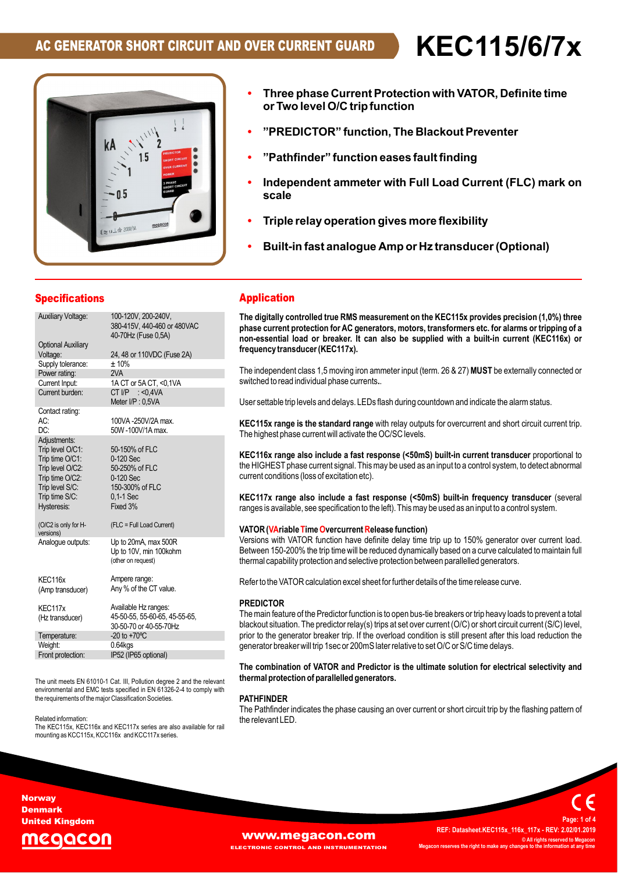**ï**

**Three**



- **phase Current Protection withVATOR, Definite time function, and the predict** in the process of the prevention of two level O/C trip function<br>\*\*<br>PREDICTOR\* function, The Blackout Preventer\* **ree phase Current Protection with V**<br>Two level O/C trip function **or Two level O/C trip function**
- **ïfunction eases fault finding**
- "**Pathfinder" ïscale**
- **ammeter with Full Load Current (FLC) mark on relay** operation gives more flexibility<br>Scale<br>Triple relay operation gives more flexibility **scale**
- **ï**
- **fast analogue Amp or Hz transducer(Optional)**

| <b>Specifications</b>                                                                                                                          |                                                                                                            |
|------------------------------------------------------------------------------------------------------------------------------------------------|------------------------------------------------------------------------------------------------------------|
| <b>Auxiliary Voltage:</b>                                                                                                                      | 100-120V, 200-240V,<br>380-415V, 440-460 or 480VAC<br>40-70Hz (Fuse 0.5A)                                  |
| <b>Optional Auxiliary</b>                                                                                                                      |                                                                                                            |
| Voltage:                                                                                                                                       | 24, 48 or 110VDC (Fuse 2A)                                                                                 |
| Supply tolerance:                                                                                                                              | ±10%                                                                                                       |
| Power rating:                                                                                                                                  | 2VA                                                                                                        |
| Current Input:                                                                                                                                 | 1A CT or 5A CT, <0,1VA                                                                                     |
| Current burden:                                                                                                                                | CT I/P $: <0,4VA$<br>Meter I/P: 0,5VA                                                                      |
| Contact rating:                                                                                                                                |                                                                                                            |
| AC:                                                                                                                                            | 100VA-250V/2A max.                                                                                         |
| DC:                                                                                                                                            | 50W-100V/1A max.                                                                                           |
| Adjustments:<br>Trip level O/C1:<br>Trip time O/C1:<br>Trip level O/C2:<br>Trip time O/C2:<br>Trip level S/C:<br>Trip time S/C:<br>Hysteresis: | 50-150% of FLC<br>0-120 Sec<br>50-250% of FLC<br>0-120 Sec<br>150-300% of FLC<br>$0.1 - 1$ Sec<br>Fixed 3% |
| (O/C2 is only for H-<br>versions)                                                                                                              | (FLC = Full Load Current)                                                                                  |
| Analogue outputs:                                                                                                                              | Up to 20mA, max 500R<br>Up to 10V, min 100kohm<br>(other on request)                                       |
| KEC116x                                                                                                                                        | Ampere range:                                                                                              |
| (Amp transducer)                                                                                                                               | Any % of the CT value.                                                                                     |
| KEC117x                                                                                                                                        | Available Hz ranges:                                                                                       |
| (Hz transducer)                                                                                                                                | 45-50-55, 55-60-65, 45-55-65,<br>30-50-70 or 40-55-70Hz                                                    |
| Temperature:                                                                                                                                   | $-20$ to $+70^{\circ}$ C                                                                                   |
| Weight:                                                                                                                                        | $0.64$ kgs                                                                                                 |
| Front protection:                                                                                                                              | IP52 (IP65 optional)                                                                                       |

the requirements of the major Classification Societies.<br>Related information: Th<br>The unit meets EN 61010-1 Cat. III, Pollution degree 2 and the relevant **the**<br>environmental and EMC tests specified in EN 61326-2-4 to comply with The unit meets and truther Cat. in, Politician degree 2 a<br>environmental and EMC tests specified in EN 61326-2-4<br>the requirements of the maior Classification Societies.

Related information:<br>The KEC115x, KEC116x and KEC117x series are also available for rail<br>mounting as KCC115x, KCC116x and KCC117x series.

## **TheApplication**

**Application**<br>The digitally controlled true RMS measurement on the KEC115x provides precision (1,0%) three<br>phase current protection for AC generators. motors. transformers etc. for alarms or tripping of a **logical** controlled true KMS measurement on the KEC 113x provides precision (1,0%) times<br>phase current protection for AC generators, motors, transformers etc. for alarms or tripping of a<br>non-essential load or breaker. It non-essential load or breaker. It can also be supplied with a built-in current (KEC116x) or frequency transducer (KEC117x).

nmeter input (term. 26 & 27) **MUST** be externa rrequency transducer (KEC 117x).<br>The independent class 1,5 moving iron ammeter input (term. 26 & 27) MUST be externally connected or<br>switched to read individual phase currents.. The independent class 1,5 moving iron ammeter ir<br>switched to read individual phase currents..

switched to read individual phase currents..<br>User settable trip levels and delays. LEDs flash during countdown and indicate the alarm status.

oser settable trip levels and delays. LEDs hash during countdown and indicate the alarm status.<br>KEC115x range is the standard range with relav outbuts for overcurrent and short circuit current trip. **:115x range is the standard range** with relay outputs for overcurrent and short circuit current tr<br>highest phase current will activate the OC/SC levels. ble trip levels and delays. LEDS liash dur<br>**range is the standard range** with relay The highest phase current will activate the OC/SC levels.

 to The ingitiest phase current will activate the OC/SC levels.<br>KEC116x range also include a fast response (<50mS) built-in current transducer proportional to<br>the HIGHEST phase current signal. This may be used as an input to a the HIGHEST phase current signal. This may be used as an input to a control system, to detect abnormal current conditions (loss of excitation etc).

KEC117x range also include a fast response (<50mS) built-in frequency transducer (seve<br>ranges is available, see specification to the left). This may be used as an input to a control system. **range also include <sup>a</sup> fast response (<50mS) built-in frequency transducer** ranges is av

# ranges is available, see specification to the left). This may be us<br>**VATOR (VAriable Time Overcurrent Release function)**

**VATOR (VAriable Time Overcurrent Release function)**<br>Versions with VATOR function have definite delay time trip up to 150% generator over current load. vATOR (VARIADIE TIME Overcurrent Release function)<br>Versions with VATOR function have definite delay time trip up to 150% generator over current load.<br>Between 150-200% the trip time will be reduced dynamically based on a cu Between 150-200% the trip time will be reduced dynamically based on a curve calculated to maintain full thermal capability protection and selective protection between parallelled generators.

thermal capability protection and selective protection between paralielled generators.<br>Refer to the VATOR calculation excel sheet for further details of the time release curve.

## **PREDICTOR**

**PREDICTOR**<br>The main feature of the Predictor function is to open bus-tie breakers or trip heavy loads to prevent a total<br>blackout situation. The predictor relay(s) trips at set over current (O/C) or short circuit current The main leature of the Predictor function is to open bus-tie breakers or trip heavy loads to prevent a total<br>blackout situation. The predictor relay(s) trips at set over current (O/C) or short circuit current (S/C) level, prior to the generator breaker trip. If the overload condition is still present after this load reduction the generator breaker will trip 1sec or 200mS later relative to set O/C or S/C time delays.

thermal protection of parallelled generators. generator breaker will trip isecor zooms later relative to set O/C or S/C time delays.<br>The combination of VATOR and Predictor is the ultimate solution for electrical selectivity and<br>thermal protection of parallelled genera

## **PATHFINDFR**

**PATHFINDER**<br>The Pathfinder indicates the phase causing an over current or short circuit trip by the flashing pattern of<br>the relevant LED.

#### **Norway** Denmark United Kingdom



**WWW.Megacon.com**<br>Ectronic control and instrumentation Megacon reserves the right to make any **EL AND INSTRUMENTATION** 

**REF:**

 **Datasheet.KEC115x\_116x\_117x - REV: 2.02/01.2019 © All rights reserved to Megacon MegaconC** All rights reserved to M<br>**right the information** at a

**Page:**

**<sup>1</sup> of <sup>4</sup>**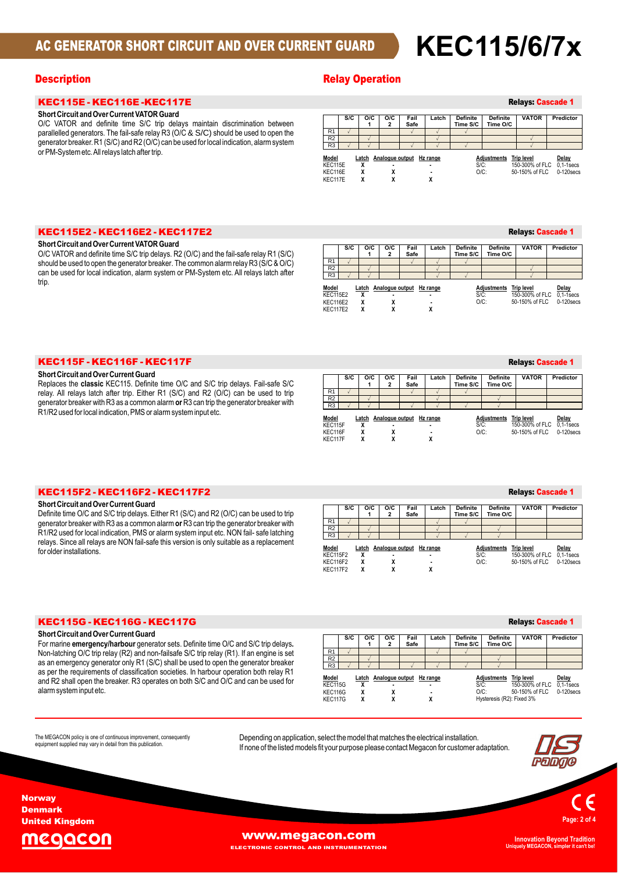# **AC GENERATOR SHORT CIRCUIT AND OVER CURRENT GUARD KEC115/6/7x**

# KEC115E - KEC116E -KEC117E **ShortCircuit andOverCurrent VATORGuard**

#### Short Circuit and Over Current VATOR Guard

Short Circuit and Over Current VATOR Guard<br>O/C VATOR and definite time S/C trip delays maintain discrimination between<br>parallelled generators. The fail-safe relay R3 (O/C & S/C) should be used to open the O/C VATOR and definite time S/C trip delays maintain discrimination between<br>parallelled generators. The fail-safe relay R3 (O/C & S/C) should be used to open the<br>generator breaker. R1 (S/C) and R2 (O/C) can be used for lo generator breaker. R1 (S/C) and R2 (O/C) can be used for local indication, alarm system<br>or PM-System etc. All relays latch after trip.

## **Description Contract Contract Contract Contract Contract Contract Contract Contract Contract Contract Contract Contract Contract Contract Contract Contract Contract Contract Contract Contract Contract Contract Contract Co**

|                             |     |                 |                     |                          |                |                             |                             | <b>Relays: Cascade 1</b>                               |                                         |
|-----------------------------|-----|-----------------|---------------------|--------------------------|----------------|-----------------------------|-----------------------------|--------------------------------------------------------|-----------------------------------------|
|                             | S/C | O/C             | O/C<br>2            | Fail<br>Safe             | Latch          | <b>Definite</b><br>Time S/C | <b>Definite</b><br>Time O/C | <b>VATOR</b>                                           | Predictor                               |
| R <sub>1</sub>              |     |                 |                     |                          |                |                             |                             |                                                        |                                         |
| R <sub>2</sub>              |     |                 |                     |                          |                |                             |                             |                                                        |                                         |
| R <sub>3</sub>              |     |                 |                     |                          |                |                             |                             |                                                        |                                         |
| Model<br>KEC115E<br>KEC116E |     | Latch<br>χ<br>χ | $\blacksquare$<br>χ | Analogue output Hz range | $\blacksquare$ | $S/C$ :<br>$O/C$ :          | <b>Adjustments</b>          | <b>Trip level</b><br>150-300% of FLC<br>50-150% of FLC | Delay<br>$0.1 - 1$ secs<br>$0-120$ secs |
| KEC117E                     |     | χ               | л                   |                          |                |                             |                             |                                                        |                                         |

# KEC115E2 - KEC116E2 - KEC117E2 **ShortCircuit andOverCurrent VATORGuard**

#### Short Circuit and Over Current VATOR Guard

VATOR AND IN THE SAFE IN THE SAFE OF A SAFE IN THE SAFE IN THE SHOT IN SHOT SHOT SHOT IN SHOT OF THE SIGN OF T<br>The VATOR and definite time S/C trip delays. R2 (O/C) and the fail-safe relay R1 (S/C) short Circuit and Over Current vATOR Guard<br>O/C VATOR and definite time S/C trip delays. R2 (O/C) and the fail-safe relay R1 (S/C)<br>should be used to open the generator breaker. The common alarm relay R3 (S/C & O/C) O/C VATOR and definite time S/C trip delays. R2 (O/C) and the fail-sale relay R1 (S/C)<br>should be used to open the generator breaker. The common alarm relay R3 (S/C & O/C)<br>can be used for local indication. alarm system or P trip

|                                                                |     |        |          |                                |       |                             |                             | <b>Relays: Cascade 1</b>            |                                                     |
|----------------------------------------------------------------|-----|--------|----------|--------------------------------|-------|-----------------------------|-----------------------------|-------------------------------------|-----------------------------------------------------|
|                                                                | S/C | O/C    | O/C<br>2 | Fail<br>Safe                   | Latch | <b>Definite</b><br>Time S/C | <b>Definite</b><br>Time O/C | <b>VATOR</b>                        | Predictor                                           |
| R <sub>1</sub>                                                 |     |        |          |                                |       |                             |                             |                                     |                                                     |
| R <sub>2</sub>                                                 |     |        |          |                                |       |                             |                             |                                     |                                                     |
| R <sub>3</sub>                                                 |     |        |          |                                |       |                             |                             |                                     |                                                     |
| Model<br><b>KEC115E2</b><br><b>KEC116E2</b><br><b>KEC117E2</b> |     | χ<br>χ |          | Latch Analogue output Hz range | ٠     | $S/C$ :<br>$O/C$ :          | <b>Adiustments</b>          | <b>Trip level</b><br>50-150% of FLC | Delay<br>150-300% of FLC 0.1-1 secs<br>$0-120$ secs |

# KEC115F - KEC116F - KEC117F **ShortCircuit andOverCurrentGuard**

## **Short Circuit and Over Current Guard**

**Definite time Of Short Circuit and Over Current Guard**<br>Replaces the **classic** KEC115. Definite time O/C and S/C trip delays. Fail-safe S/C<br>relay. All relays latch after trip. Either R1 (S/C) and R2 (O/C) can be used to trip<br>generator brea short Circuit and Over Current Guard<br>Replaces the classic KEC115. Definite time O/C and S/C trip delays. Fail-safe S/C<br>relay. All relays latch after trip. Either R1 (S/C) and R2 (O/C) can be used to trip

**or**Short Circuit and Over Current Guard<br>Definite time O/C and S/C trip delays. Either R1 (S/C) and R2 (O/C) can be used to trip<br>denerator breaker with R3 as a common alarm or R3 can trip the generator breaker with onort Circuit and Over Current Guard<br>Definite time O/C and S/C trip delays. Either R1 (S/C) and R2 (O/C) can be used to trip<br>generator breaker with R3 as a common alarm **or** R3 can trip the generator breaker with Definite time O/C and S/C trip delays. Etther RT (S/C) and RZ (O/C) can be used to trip<br>generator breaker with R3 as a common alarm **or** R3 can trip the generator breaker with<br>R1/R2 used for local indication. PMS or alarm generator preaker with R3 as a common alarm **o**r R3 can trip the generator breaker with<br>R1/R2 used for local indication, PMS or alarm system input etc. NON fail- safe latching<br>relays. Since all relays are NON fail-safe thi relays. Since all relays are NON fail-safe this version is only suitable as a replacement<br>for older installations.

KEC115F2 - KEC116F2 - KEC117F2 **ShortCircuit andOverCurrentGuard**

#### **O/C** | **O/C** | **O/C** | Fail<br>2 | Safe **Fail Safe Latch Definite Time S/C Relays: Cascade 1**<br>**Definite** VATOR Predictor **Definit** Definite VATOR<br>Time O/C R1  $\sqrt{2}$   $\sqrt{2}$ R2 R3  $\sqrt{ }$ **R3 Latch Analogue output Hz range <sup>X</sup> - - <sup>X</sup> <sup>X</sup> - <sup>X</sup>** $\frac{x}{x}$  **x** Model KEC115F KEC116F<br>KEC117F **AdjustmentsAdjustments Trip level Delay<br><b>Adjustments Trip level Delay<br>S/C: 150-130% of FLC 0-120secs 0-0C: 50-150% of FLC 0-120secs**

#### **Definite**

|                                                                |     |             |          |                                |                          |                             |                             | <b>Relays: Cascade 1</b>                               |                                         |
|----------------------------------------------------------------|-----|-------------|----------|--------------------------------|--------------------------|-----------------------------|-----------------------------|--------------------------------------------------------|-----------------------------------------|
|                                                                | S/C | O/C         | O/C<br>2 | Fail<br>Safe                   | Latch                    | <b>Definite</b><br>Time S/C | <b>Definite</b><br>Time O/C | <b>VATOR</b>                                           | Predictor                               |
| R <sub>1</sub>                                                 |     |             |          |                                |                          |                             |                             |                                                        |                                         |
| R <sub>2</sub>                                                 |     |             |          |                                |                          |                             |                             |                                                        |                                         |
| R <sub>3</sub>                                                 |     |             |          |                                |                          |                             |                             |                                                        |                                         |
| Model<br><b>KEC115F2</b><br><b>KEC116F2</b><br><b>KEC117F2</b> |     | χ<br>χ<br>χ | χ<br>χ   | Latch Analogue output Hz range | ٠<br>$\blacksquare$<br>X | $S/C$ :<br>$O/C$ :          | Adjustments                 | <b>Trip level</b><br>150-300% of FLC<br>50-150% of FLC | Delay<br>$0.1 - 1$ secs<br>$0-120$ secs |

# KEC115G - KEC116G - KEC117G **ShortCircuit andOverCurrentGuard**

#### **Short Circuit and Over Current Guard**

state **contrary and the contrary of the contrary of the Short Circuit and Over Current Guard<br>For marine emergency/harbour generator sets. Definite time O/C and S/C trip delays.** onort Circuit and Over Current Guard<br>For marine **emergency/harbour** generator sets. Definite time O/C and S/C trip delays.<br>Non-latching O/C trip relay (R2) and non-failsafe S/C trip relay (R1). If an engine is set Non-latching O/C trip relay (R2) and non-failsafe S/C trip relay (R1). If an engine is set non-latching O/C trip relay (KZ) and hon-lansale S/C trip relay (KT). It an engine is set<br>as an emergency generator only R1 (S/C) shall be used to open the generator breaker<br>as per the requirements of classification societ as per the requirements of classification societies. In harbour operation both relay R1 and R2 shall open the breaker. R3 operates on both S/C and O/C and can be used for alarm system input etc.

|                                               |     |                      |                     |                          |       |                             |                                                     | <b>Relays: Cascade 1</b>            |                                                     |
|-----------------------------------------------|-----|----------------------|---------------------|--------------------------|-------|-----------------------------|-----------------------------------------------------|-------------------------------------|-----------------------------------------------------|
|                                               | S/C | O/C                  | O/C<br>$\mathbf{2}$ | Fail<br>Safe             | Latch | <b>Definite</b><br>Time S/C | <b>Definite</b><br>Time O/C                         | <b>VATOR</b>                        | Predictor                                           |
| R <sub>1</sub>                                |     |                      |                     |                          |       |                             |                                                     |                                     |                                                     |
| R <sub>2</sub>                                |     |                      |                     |                          |       |                             |                                                     |                                     |                                                     |
| R <sub>3</sub>                                |     |                      |                     |                          |       |                             |                                                     |                                     |                                                     |
| Model<br><b>KEC115G</b><br>KEC116G<br>KEC117G |     | Latch<br>χ<br>χ<br>х | χ<br>χ              | Analogue output Hz range | χ     | $S/C$ :                     | Adjustments<br>$O/C$ :<br>Hysteresis (R2): Fixed 3% | <b>Trip level</b><br>50-150% of FLC | Delay<br>150-300% of FLC 0.1-1 secs<br>$0-120$ secs |

The MEGACON policy is one of continuous improvement, consequently<br>equipment supplied may vary in detail from this publication.

Depending on application, select the model that matches the electrical installation.<br>If none of the listed models fit your purpose please contact Megacon for customer adaptation.





Denmark United Kingdom

**Norway** 

## egacon

**[www.megacon.com](http://www.megacon.com)** ELECTRONIC CONTROL AND INSTRUMENTATION

**Uniquely MEGACON, simpler it can't be!**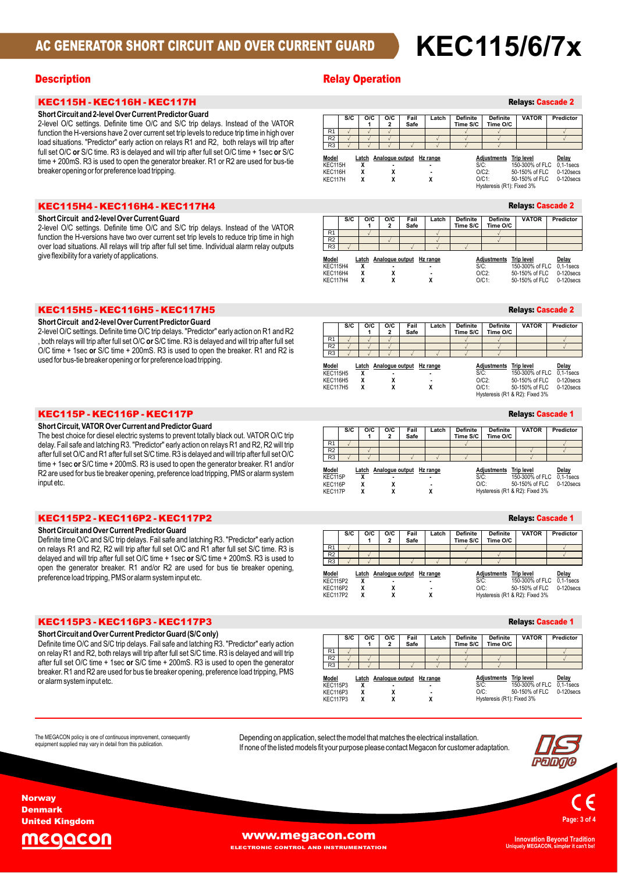# **AC GENERATOR SHORT CIRCUIT AND OVER CURRENT GUARD KEC115/6/7x**

## **Description**

## KEC115H - KEC116H - KEC117H **ShortCircuitKEC115H - KEC116H - KEC117H<br>Short Circuit and 2-level Over Current Predictor Guard**

## anoric

z-lever O/C settings. Definite time O/C and S/C trip delays. Instead of the VATOR<br>function the H-versions have 2 over current set trip levels to reduce trip time in high over<br>load situations. "Predictor" early action on re function the H-versions have 2 over current set trip levels to reduce trip time in high over<br>full set O/C or S/C time. R3 is delayed and will trip after full set O/C time + 1sec or S/C<br>time + 200mS. R3 is used to open the O/C settings. Definite time O/C and S/C trip delays. Instead of the VATOR short Circuit and 2-level Over Current Predictor Guard<br>2-level O/C settings. Definite time O/C and S/C trip delays. Instead of the VATOR<br>function the H-versions have 2 over current set trip levels to reduce trip time in hi time + 200mS. R3 is used to open the generator breaker. R1 or R2 are used for bus-tie breaker opening or for preference load tripping.

# KEC115H4 - KEC116H4 - KEC117H4 **ShortCircuit and 2-levelOverCurrentGuard**

#### $\frac{2}{\sqrt{2}}$ anoric

OFFICE THE CHANGE THE CHANGE THAT THE CHANGE THAT THE CHANGE THAT THE CITY OF THE CITY OF THE CITY OF THE COMM<br>O/C settings. Definite time O/C and S/C trip delays. Instead of the VATOR short Circuit and z-level Over Current Guard<br>2-level O/C settings. Definite time O/C and S/C trip delays. Instead of the VATOR<br>function the H-versions have two over current set trip levels to reduce trip time in high 2-level O/C settings. Definite time O/C and S/C trip delays. Instead of the VATOR<br>function the H-versions have two over current set trip levels to reduce trip time in high<br>over load situations. All relays will trip after f flom the H-versions have two over curren<br>load situations. All relays will trip after fu<br>flexibility for a variety of applications.

# KEC115H5 - KEC116H5 - KEC117H5 **ShortCircuit and 2-levelOverCurrentPredictorGuard**

Short Circuit and 2-level Over Current Predictor Guard

**Short Circuit and 2-level Or Current Predictor Guard<br>2-level O/C settings. Definite time O/C trip delays. "Predictor" early action on R1 and R2<br>. both relays will trip after full set O/C or S/C time. R3 is delayed and wil** z-lever O/C settings. Defirite time O/C trip delays. Predictor early action on K1 and K2<br>, both relays will trip after full set O/C **or** S/C time. R3 is delayed and will trip after full set<br>O/C time + 1sec **or** S/C time + rrelays will trip after full set O/C **or** S/C time. KS is delayed and<br>ime + 1sec **or** S/C time + 200mS. R3 is used to open the bre<br>for bus-tie breaker opening or for preference load tripping.

## KEC115P - KEC116P - KEC117P **KEC115P - KEC116P - KEC117P<br>Short Circuit. VATOR Over Current and Predictor Guard**

The best choice for dieser electric systems to prevent totally black out. VATOR OC tilp<br>delay. Fail safe and latching R3. "Predictor" early action on relays R1 and R2, R2 will trip<br>after full set O/C and R1 after full set state of the state of the state of the state of the state of the best choice for diesel electric systems to prevent totally black out. VATOR O/C trip<br>The best choice for diesel electric systems to prevent totally black out after full set O/C and R1 after full set S/C time. R3 is delayed and will trip after full set O/C arier run set O/C and R T after fun set S/C time. RS is delayed and will trip after fun set O/C<br>time + 1sec or S/C time + 200mS. R3 is used to open the generator breaker. R1 and/or<br>R2 are used for bus tie breaker opening, R2 are used for bus tie breaker opening, preference load tripping, PMS or alarm system<br>input etc.

## **KEC115P2 - KEC116P2 - KEC117P2**<br>Short Circuit and Over Current Predictor Guard **C117P2**<br>uard

**or**Short Circuit and Over Current Predictor Guard<br>Definite time O/C and S/C trip delays. Fail safe and latching R3. "Predictor" early action<br>on relays R1 and R2, R2 will trip after full set O/C and R1 after full set S/C time. onort Circuit and Over Current Predictor Guard<br>Definite time O/C and S/C trip delays. Fail safe and latching R3. "Predictor" early action<br>on relays R1 and R2. R2 will trip after full set O/C and R1 after full set S/C time. delayed and will trip after full set O/C time  $+$  1 sec or S/C time  $+$  200mS. R3 is used to open the generator breaker. R1 and/or R2 are used for bus tie breaker opening, preference load tripping, PMS or alarm system input etc.

# KEC115P3 - KEC116P3 - KEC117P3 **ShortCircuit andOverCurrent PredictorGuard (S/Conly)**

**orShort Circuit and Over Current Predictor Guard (S/C only)**<br>Definite time O/C and S/C trip delays. Fail safe and latching R3. "Predictor" early action<br>on relay R1 and R2, both relays will trip after full set S/C time. R3 i on ort Circuit and Over Current Predictor Guard (S/C only)<br>Definite time O/C and S/C trip delays. Fail safe and latching R3. "Predictor" early action<br>on relav R1 and R2. both relays will trip after full set S/C time. R3 is on relay R1 and R2, both relays will trip after full set S/C time. R3 is delayed and will trip on relay is traing is a bout relays will tilp after full set S/C time. Is suelayed and will tilp<br>after full set O/C time + 1sec or S/C time + 200mS. R3 is used to open the generator<br>breaker. R1 and R2 are used for bus tie

breaker. R1 and R2 are used for bus tie breaker opening, preference load tripping, PMS or alarm system input etc.

|  |  | <b>Relay Operation</b> |  |
|--|--|------------------------|--|
|--|--|------------------------|--|

#### o<br>**O**/C | O/C | **O/C** Fail<br>2 Safe **Fail Safe Latch Definite Time S/C Definitions: Cascade 2** Definite VATOR<br>Time O/C **Definite Predictor** R1  $\vee$   $\vee$   $\vee$   $\vee$   $\vee$   $\vee$   $\vee$   $\vee$   $\vee$   $\vee$   $\vee$   $\vee$   $\vee$   $\vee$   $\vee$   $\vee$   $\vee$   $\vee$   $\vee$   $\vee$   $\vee$   $\vee$   $\vee$   $\vee$   $\vee$   $\vee$   $\vee$   $\vee$   $\vee$   $\vee$   $\vee$   $\vee$   $\vee$   $\vee$   $\vee$   $\vee$   $\$ R2  $\vee$   $\vee$   $\vee$   $\vee$   $\vee$   $\vee$   $\vee$   $\vee$   $\vee$   $\vee$   $\vee$ R3 / / / / / / / / / / / / / **R3 Latch Analogue output Hz range <sup>X</sup>Adjustments Trip levelDelay** S/C: **- - <sup>X</sup>** <sup>15</sup> 300% of FLC 0,1-1secs O/C2:-Model Trip level **<sup>X</sup> - <sup>X</sup>Adjustments Inplevel Dealy Dealy<br>SIC: 150-300% of FLC 0.1-19ecs<br>O/C2: 50-150% of FLC 0-120secs DC1: 50-150% of FLC 0-120secs** KEC115H **<sup>X</sup> <sup>X</sup>** KEC116H 50-150% of FLC 0-120<br>50-150% of FLC 0-120<br>(R1): Fixed 3% KFC117H

|                          |     |            |          |                          |       |                             |                             | <b>Relays: Cascade 2</b>             |                         |
|--------------------------|-----|------------|----------|--------------------------|-------|-----------------------------|-----------------------------|--------------------------------------|-------------------------|
|                          | S/C | O/C        | O/C<br>2 | Fail<br>Safe             | Latch | <b>Definite</b><br>Time S/C | <b>Definite</b><br>Time O/C | <b>VATOR</b>                         | Predictor               |
| R <sub>1</sub>           |     |            |          |                          |       |                             |                             |                                      |                         |
| R <sub>2</sub>           |     |            |          |                          |       |                             |                             |                                      |                         |
| R <sub>3</sub>           |     |            |          |                          |       |                             |                             |                                      |                         |
| Model<br><b>KEC115H4</b> |     | Latch<br>χ |          | Analogue output Hz range | ٠     | S/C:                        | <b>Adiustments</b>          | <b>Trip level</b><br>150-300% of FLC | Delay<br>$0.1 - 1$ secs |
| KEC116H4                 |     | χ          |          |                          |       |                             | $O/C2$ :                    | 50-150% of FLC                       | $0-120$ secs            |
| <b>KEC117H4</b>          |     |            |          |                          |       |                             | $O/C1$ :                    | 50-150% of FLC                       | $0-120$ secs            |

#### **Definite**

|                          |     |     |          |                                |                |                             |                             | <b>Relays: Cascade 2</b>             |                         |
|--------------------------|-----|-----|----------|--------------------------------|----------------|-----------------------------|-----------------------------|--------------------------------------|-------------------------|
|                          | S/C | O/C | O/C<br>2 | Fail<br>Safe                   | Latch          | <b>Definite</b><br>Time S/C | <b>Definite</b><br>Time O/C | <b>VATOR</b>                         | Predictor               |
| R <sub>1</sub>           |     |     |          |                                |                |                             |                             |                                      |                         |
| R <sub>2</sub>           |     |     |          |                                |                |                             |                             |                                      |                         |
| R <sub>3</sub>           |     |     |          |                                |                |                             |                             |                                      |                         |
| Model<br><b>KEC115H5</b> |     | χ   |          | Latch Analogue output Hz range | ٠              | S/C:                        | Adjustments                 | <b>Trip level</b><br>150-300% of FLC | Delay<br>$0.1 - 1$ secs |
| <b>KEC116H5</b>          |     | χ   | x        |                                | $\blacksquare$ |                             | $O/C2$ :                    | 50-150% of FLC                       | $0-120$ secs            |
| <b>KEC117H5</b>          |     | χ   | χ        |                                | χ              |                             | $O/C1$ :                    | 50-150% of FLC                       | $0-120$ secs            |
|                          |     |     |          |                                |                |                             |                             | Hysteresis (R1 & R2): Fixed 3%       |                         |

|                             |     |        |          |                                |       |                             |                             | <b>Relays: Cascade 1</b>                               |                                         |
|-----------------------------|-----|--------|----------|--------------------------------|-------|-----------------------------|-----------------------------|--------------------------------------------------------|-----------------------------------------|
|                             | S/C | O/C    | O/C<br>2 | Fail<br>Safe                   | Latch | <b>Definite</b><br>Time S/C | <b>Definite</b><br>Time O/C | <b>VATOR</b>                                           | Predictor                               |
| R <sub>1</sub>              |     |        |          |                                |       |                             |                             |                                                        |                                         |
| R <sub>2</sub>              |     |        |          |                                |       |                             |                             |                                                        |                                         |
| R <sub>3</sub>              |     |        |          |                                |       |                             |                             |                                                        |                                         |
| Model<br>KEC115P<br>KEC116P |     | X<br>χ | χ        | Latch Analogue output Hz range |       | $S/C$ :<br>$O/C$ :          | Adjustments                 | <b>Trip level</b><br>150-300% of FLC<br>50-150% of FLC | Delay<br>$0.1 - 1$ secs<br>$0-120$ secs |
| KEC117P                     |     |        |          |                                |       |                             |                             | Hysteresis (R1 & R2): Fixed 3%                         |                                         |

|                          |     |     |          |                                |       |                             |                             | <b>Relays: Cascade 1</b>             |                         |
|--------------------------|-----|-----|----------|--------------------------------|-------|-----------------------------|-----------------------------|--------------------------------------|-------------------------|
|                          | S/C | O/C | O/C<br>2 | Fail<br>Safe                   | Latch | <b>Definite</b><br>Time S/C | <b>Definite</b><br>Time O/C | <b>VATOR</b>                         | Predictor               |
| R <sub>1</sub>           |     |     |          |                                |       |                             |                             |                                      |                         |
| R <sub>2</sub>           |     |     |          |                                |       |                             |                             |                                      |                         |
| R <sub>3</sub>           |     |     |          |                                |       |                             |                             |                                      |                         |
| Model<br><b>KEC115P2</b> |     | x   |          | Latch Analogue output Hz range |       | $S/C$ :                     | Adjustments                 | <b>Trip level</b><br>150-300% of FLC | Delay<br>$0.1 - 1$ secs |
| <b>KEC116P2</b>          |     | x   | x        |                                |       | $O/C$ :                     |                             | 50-150% of FLC                       | $0-120$ secs            |
| <b>KEC117P2</b>          |     | x   |          |                                |       |                             |                             | Hysteresis (R1 & R2): Fixed 3%       |                         |

|                                                                |     |                                      |                                |              |                                 |                             |                                                     | <b>Relays: Cascade 1</b>                                          |                       |
|----------------------------------------------------------------|-----|--------------------------------------|--------------------------------|--------------|---------------------------------|-----------------------------|-----------------------------------------------------|-------------------------------------------------------------------|-----------------------|
|                                                                | S/C | O/C                                  | O/C<br>$\overline{\mathbf{2}}$ | Fail<br>Safe | Latch                           | <b>Definite</b><br>Time S/C | <b>Definite</b><br>Time O/C                         | <b>VATOR</b>                                                      | Predictor             |
| R <sub>1</sub>                                                 |     |                                      |                                |              |                                 |                             |                                                     |                                                                   |                       |
| R <sub>2</sub>                                                 |     |                                      |                                |              |                                 |                             |                                                     |                                                                   |                       |
| R <sub>3</sub>                                                 |     |                                      |                                |              |                                 |                             |                                                     |                                                                   |                       |
| Model<br><b>KEC115P3</b><br><b>KEC116P3</b><br><b>KEC117P3</b> |     | Latch Analogue output<br>χ<br>x<br>x | χ<br>χ                         |              | Hz range<br>$\blacksquare$<br>χ | $S/C$ :                     | Adjustments<br>$O/C$ :<br>Hysteresis (R1): Fixed 3% | <b>Trip level</b><br>150-300% of FLC 0.1-1 secs<br>50-150% of FLC | Delay<br>$0-120$ secs |

The MEGACON policy is one of continuous improvement, consequently<br>equipment supplied may vary in detail from this publication.

Depending on application, select the model that matches the electrical installation.<br>If none of the listed models fit your purpose please contact Megacon for customer adaptation.





Denmark United Kingdom

**Norway** 



**WWW.Megacon.com**<br>**ELECTRONIC CONTROL AND INSTRUMENTAT** 

**EL AND INSTRUMENTATION** 

**Uniquely MEGACON, simpler it can't be!**